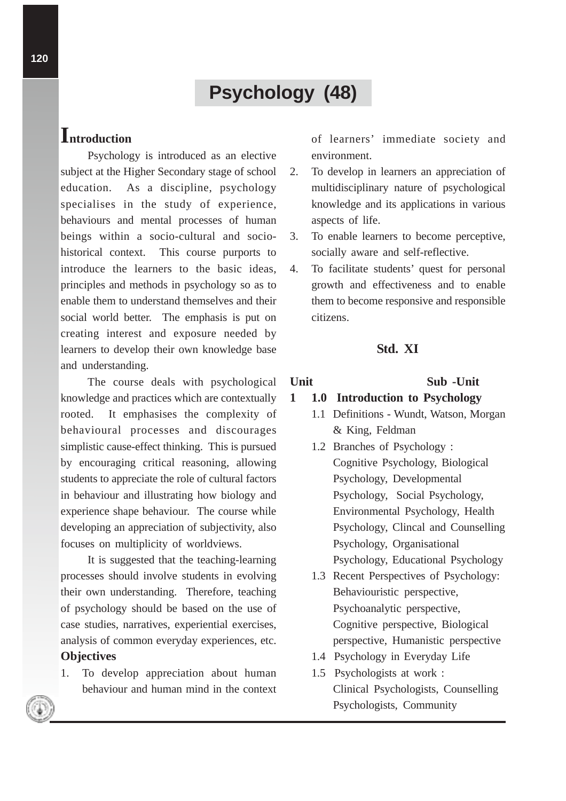# **Psychology (48)**

# **Introduction**

Psychology is introduced as an elective subject at the Higher Secondary stage of school education. As a discipline, psychology specialises in the study of experience, behaviours and mental processes of human beings within a socio-cultural and sociohistorical context. This course purports to introduce the learners to the basic ideas, principles and methods in psychology so as to enable them to understand themselves and their social world better. The emphasis is put on creating interest and exposure needed by learners to develop their own knowledge base and understanding.

The course deals with psychological knowledge and practices which are contextually rooted. It emphasises the complexity of behavioural processes and discourages simplistic cause-effect thinking. This is pursued by encouraging critical reasoning, allowing students to appreciate the role of cultural factors in behaviour and illustrating how biology and experience shape behaviour. The course while developing an appreciation of subjectivity, also focuses on multiplicity of worldviews.

It is suggested that the teaching-learning processes should involve students in evolving their own understanding. Therefore, teaching of psychology should be based on the use of case studies, narratives, experiential exercises, analysis of common everyday experiences, etc. **Objectives**

1. To develop appreciation about human behaviour and human mind in the context of learners' immediate society and environment.

- 2. To develop in learners an appreciation of multidisciplinary nature of psychological knowledge and its applications in various aspects of life.
- 3. To enable learners to become perceptive, socially aware and self-reflective.
- 4. To facilitate students' quest for personal growth and effectiveness and to enable them to become responsive and responsible citizens.

## **Std. XI**

### **Unit Sub -Unit**

# **1 1.0 Introduction to Psychology**

- 1.1 Definitions Wundt, Watson, Morgan & King, Feldman
- 1.2 Branches of Psychology : Cognitive Psychology, Biological Psychology, Developmental Psychology, Social Psychology, Environmental Psychology, Health Psychology, Clincal and Counselling Psychology, Organisational Psychology, Educational Psychology
- 1.3 Recent Perspectives of Psychology: Behaviouristic perspective, Psychoanalytic perspective, Cognitive perspective, Biological perspective, Humanistic perspective
- 1.4 Psychology in Everyday Life
- 1.5 Psychologists at work : Clinical Psychologists, Counselling Psychologists, Community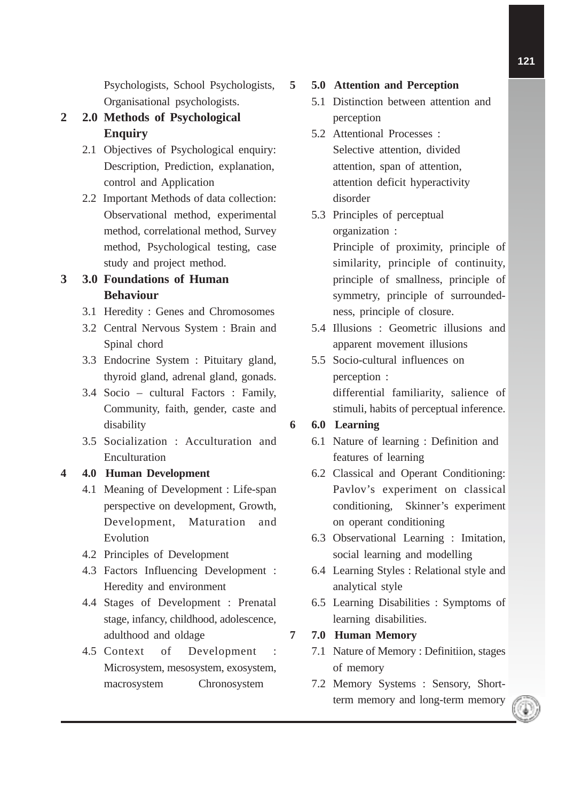Psychologists, School Psychologists, Organisational psychologists.

- **2 2.0 Methods of Psychological Enquiry**
	- 2.1 Objectives of Psychological enquiry: Description, Prediction, explanation, control and Application
	- 2.2 Important Methods of data collection: Observational method, experimental method, correlational method, Survey method, Psychological testing, case study and project method.

# **3 3.0 Foundations of Human Behaviour**

- 3.1 Heredity : Genes and Chromosomes
- 3.2 Central Nervous System : Brain and Spinal chord
- 3.3 Endocrine System : Pituitary gland, thyroid gland, adrenal gland, gonads.
- 3.4 Socio cultural Factors : Family, Community, faith, gender, caste and disability
- 3.5 Socialization : Acculturation and Enculturation

# **4 4.0 Human Development**

- 4.1 Meaning of Development : Life-span perspective on development, Growth, Development, Maturation and Evolution
- 4.2 Principles of Development
- 4.3 Factors Influencing Development : Heredity and environment
- 4.4 Stages of Development : Prenatal stage, infancy, childhood, adolescence, adulthood and oldage
- 4.5 Context of Development : Microsystem, mesosystem, exosystem, macrosystem Chronosystem

# **5 5.0 Attention and Perception**

- 5.1 Distinction between attention and perception
- 5.2 Attentional Processes : Selective attention, divided attention, span of attention, attention deficit hyperactivity disorder
- 5.3 Principles of perceptual organization : Principle of proximity, principle of similarity, principle of continuity, principle of smallness, principle of symmetry, principle of surroundedness, principle of closure.
- 5.4 Illusions : Geometric illusions and apparent movement illusions
- 5.5 Socio-cultural influences on perception : differential familiarity, salience of stimuli, habits of perceptual inference.

# **6 6.0 Learning**

- 6.1 Nature of learning : Definition and features of learning
- 6.2 Classical and Operant Conditioning: Pavlov's experiment on classical conditioning, Skinner's experiment on operant conditioning
- 6.3 Observational Learning : Imitation, social learning and modelling
- 6.4 Learning Styles : Relational style and analytical style
- 6.5 Learning Disabilities : Symptoms of learning disabilities.

# **7 7.0 Human Memory**

- 7.1 Nature of Memory : Definitiion, stages of memory
- 7.2 Memory Systems : Sensory, Shortterm memory and long-term memory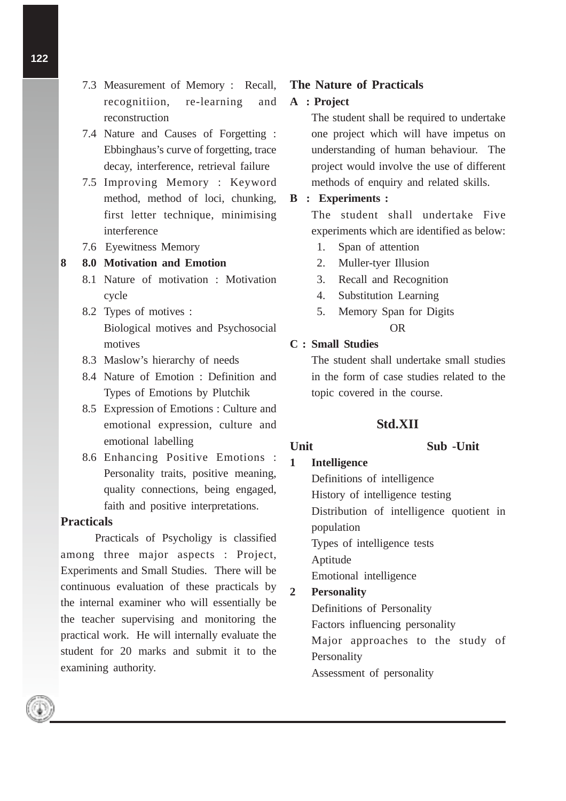- **122**
- 7.3 Measurement of Memory : Recall, recognitiion, re-learning and reconstruction
- 7.4 Nature and Causes of Forgetting : Ebbinghaus's curve of forgetting, trace decay, interference, retrieval failure
- 7.5 Improving Memory : Keyword method, method of loci, chunking, first letter technique, minimising interference
- 7.6 Eyewitness Memory

### **8 8.0 Motivation and Emotion**

- 8.1 Nature of motivation : Motivation cycle
- 8.2 Types of motives : Biological motives and Psychosocial motives
- 8.3 Maslow's hierarchy of needs
- 8.4 Nature of Emotion : Definition and Types of Emotions by Plutchik
- 8.5 Expression of Emotions : Culture and emotional expression, culture and emotional labelling
- 8.6 Enhancing Positive Emotions : Personality traits, positive meaning, quality connections, being engaged, faith and positive interpretations.

### **Practicals**

Practicals of Psycholigy is classified among three major aspects : Project, Experiments and Small Studies. There will be continuous evaluation of these practicals by the internal examiner who will essentially be the teacher supervising and monitoring the practical work. He will internally evaluate the student for 20 marks and submit it to the examining authority.

### **The Nature of Practicals**

### **A : Project**

The student shall be required to undertake one project which will have impetus on understanding of human behaviour. The project would involve the use of different methods of enquiry and related skills.

### **B : Experiments :**

The student shall undertake Five experiments which are identified as below:

- 1. Span of attention
- 2. Muller-tyer Illusion
- 3. Recall and Recognition
- 4. Substitution Learning
- 5. Memory Span for Digits OR

### **C : Small Studies**

The student shall undertake small studies in the form of case studies related to the topic covered in the course.

### **Std.XII**

### **Unit Sub -Unit**

**1 Intelligence**

Definitions of intelligence History of intelligence testing Distribution of intelligence quotient in population Types of intelligence tests Aptitude Emotional intelligence **2 Personality** Definitions of Personality Factors influencing personality Major approaches to the study of **Personality** 

Assessment of personality